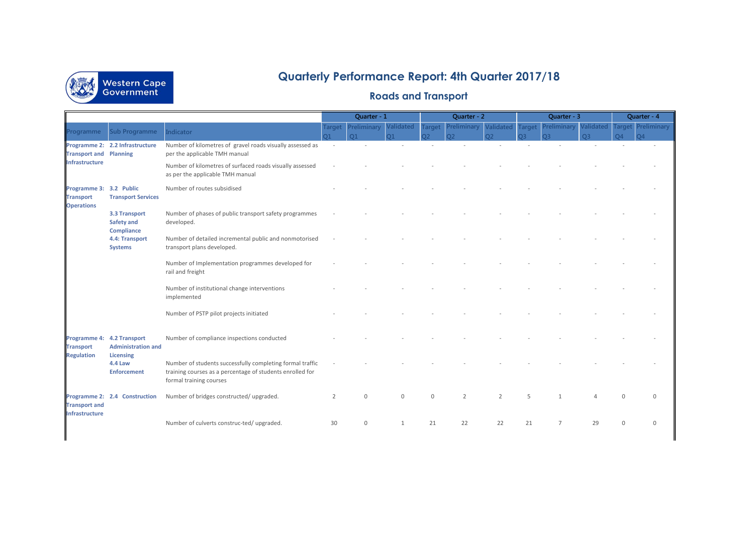

## **Quarterly Performance Report: 4th Quarter 2017/18**

## **Roads and Transport**

|                                                                  |                                                                      |                                                                                                                                                   | Quarter - 1    |                                  | Quarter - 2                       |                     |                         | Quarter - 3                   |                |                               | Quarter - 4                   |                                 |                                |
|------------------------------------------------------------------|----------------------------------------------------------------------|---------------------------------------------------------------------------------------------------------------------------------------------------|----------------|----------------------------------|-----------------------------------|---------------------|-------------------------|-------------------------------|----------------|-------------------------------|-------------------------------|---------------------------------|--------------------------------|
| Programme                                                        | <b>Sub Programme</b>                                                 | Indicator                                                                                                                                         |                | Target Preliminary<br>$\Omega$ 1 | <b>Validated</b><br>$\mathsf{D1}$ | <b>Target</b><br>าว | Preliminary<br>$\Omega$ | <b>Validated Target</b><br>റാ | בר             | Preliminary<br>O <sub>3</sub> | <b>Validated</b><br><b>O3</b> | <b>Target</b><br>O <sub>4</sub> | Preliminary<br>$\overline{24}$ |
| <b>Transport and Planning</b><br><b>Infrastructure</b>           | Programme 2: 2.2 Infrastructure                                      | Number of kilometres of gravel roads visually assessed as<br>per the applicable TMH manual                                                        |                |                                  |                                   |                     |                         |                               |                |                               |                               |                                 |                                |
|                                                                  |                                                                      | Number of kilometres of surfaced roads visually assessed<br>as per the applicable TMH manual                                                      |                |                                  |                                   |                     |                         |                               |                |                               |                               |                                 |                                |
| Programme 3: 3.2 Public<br><b>Transport</b><br><b>Operations</b> | <b>Transport Services</b>                                            | Number of routes subsidised                                                                                                                       |                |                                  |                                   |                     |                         |                               |                |                               |                               |                                 |                                |
|                                                                  | 3.3 Transport<br><b>Safety and</b><br>Compliance                     | Number of phases of public transport safety programmes<br>developed.                                                                              |                |                                  |                                   |                     |                         |                               |                |                               |                               |                                 |                                |
|                                                                  | 4.4: Transport<br><b>Systems</b>                                     | Number of detailed incremental public and nonmotorised<br>transport plans developed.                                                              |                |                                  |                                   |                     |                         |                               |                |                               |                               |                                 |                                |
|                                                                  |                                                                      | Number of Implementation programmes developed for<br>rail and freight                                                                             |                |                                  |                                   |                     |                         |                               |                |                               |                               |                                 |                                |
|                                                                  |                                                                      | Number of institutional change interventions<br>implemented                                                                                       |                |                                  |                                   |                     |                         |                               |                |                               |                               |                                 |                                |
|                                                                  |                                                                      | Number of PSTP pilot projects initiated                                                                                                           |                |                                  |                                   |                     |                         |                               |                |                               |                               |                                 |                                |
| <b>Transport</b><br><b>Regulation</b>                            | Programme 4: 4.2 Transport<br><b>Administration and</b><br>Licensing | Number of compliance inspections conducted                                                                                                        |                |                                  |                                   |                     |                         |                               |                |                               |                               |                                 |                                |
|                                                                  | <b>4.4 Law</b><br><b>Enforcement</b>                                 | Number of students successfully completing formal traffic<br>training courses as a percentage of students enrolled for<br>formal training courses |                |                                  |                                   |                     |                         |                               |                |                               |                               |                                 |                                |
| <b>Transport and</b><br><b>Infrastructure</b>                    | Programme 2: 2.4 Construction                                        | Number of bridges constructed/upgraded.                                                                                                           | $\overline{2}$ | $\Omega$                         | $\Omega$                          | $\Omega$            | $\overline{2}$          | $\overline{2}$                | $\overline{5}$ |                               |                               | $\cap$                          | U                              |
|                                                                  |                                                                      | Number of culverts construc-ted/ upgraded.                                                                                                        | 30             | $\mathbf 0$                      | 1                                 | 21                  | 22                      | 22                            | 21             | $\overline{7}$                | 29                            | $\Omega$                        | <sup>0</sup>                   |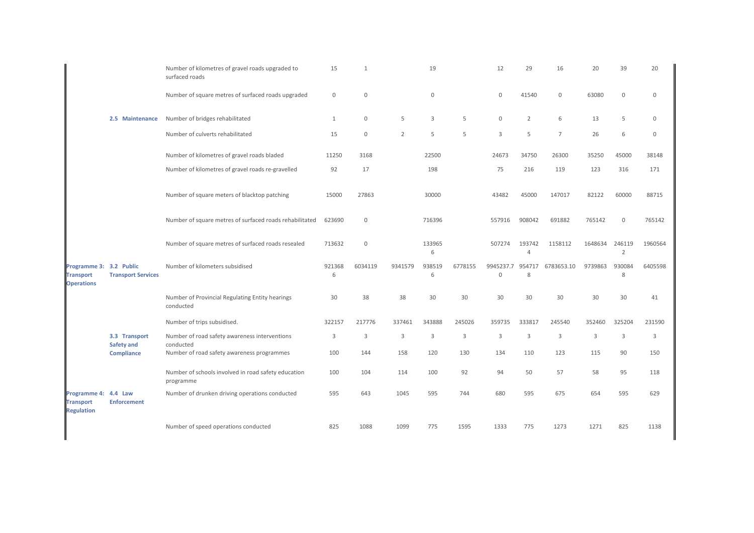|                                                                  |                                    | Number of kilometres of gravel roads upgraded to<br>surfaced roads | 15           | $\mathbf{1}$ |                | 19          |         | 12                               | 29                       | 16               | 20      | 39                       | 20          |
|------------------------------------------------------------------|------------------------------------|--------------------------------------------------------------------|--------------|--------------|----------------|-------------|---------|----------------------------------|--------------------------|------------------|---------|--------------------------|-------------|
|                                                                  |                                    | Number of square metres of surfaced roads upgraded                 | $\mathbf 0$  | 0            |                | $\mathbb O$ |         | $\mathbf 0$                      | 41540                    | $\boldsymbol{0}$ | 63080   | $\mathbf 0$              | $\mathbf 0$ |
|                                                                  | 2.5 Maintenance                    | Number of bridges rehabilitated                                    | $\mathbf{1}$ | 0            | 5              | 3           | 5       | $\mathbb O$                      | $\overline{2}$           | 6                | 13      | 5                        | $\Omega$    |
|                                                                  |                                    | Number of culverts rehabilitated                                   | 15           | 0            | $\overline{2}$ | 5           | 5       | 3                                | 5                        | $\overline{7}$   | 26      | 6                        | $\mathbf 0$ |
|                                                                  |                                    | Number of kilometres of gravel roads bladed                        | 11250        | 3168         |                | 22500       |         | 24673                            | 34750                    | 26300            | 35250   | 45000                    | 38148       |
|                                                                  |                                    | Number of kilometres of gravel roads re-gravelled                  | 92           | 17           |                | 198         |         | 75                               | 216                      | 119              | 123     | 316                      | 171         |
|                                                                  |                                    | Number of square meters of blacktop patching                       | 15000        | 27863        |                | 30000       |         | 43482                            | 45000                    | 147017           | 82122   | 60000                    | 88715       |
|                                                                  |                                    | Number of square metres of surfaced roads rehabilitated            | 623690       | 0            |                | 716396      |         | 557916                           | 908042                   | 691882           | 765142  | 0                        | 765142      |
|                                                                  |                                    | Number of square metres of surfaced roads resealed                 | 713632       | $\mathbf 0$  |                | 133965<br>6 |         | 507274                           | 193742<br>$\overline{4}$ | 1158112          | 1648634 | 246119<br>$\overline{2}$ | 1960564     |
| Programme 3: 3.2 Public<br><b>Transport</b><br><b>Operations</b> | <b>Transport Services</b>          | Number of kilometers subsidised                                    | 921368<br>6  | 6034119      | 9341579        | 938519<br>6 | 6778155 | 9945237.7 954717<br>$\mathbf{0}$ | 8                        | 6783653.10       | 9739863 | 930084<br>8              | 6405598     |
|                                                                  |                                    | Number of Provincial Regulating Entity hearings<br>conducted       | 30           | 38           | 38             | 30          | 30      | 30                               | 30                       | 30               | 30      | 30                       | 41          |
|                                                                  |                                    | Number of trips subsidised.                                        | 322157       | 217776       | 337461         | 343888      | 245026  | 359735                           | 333817                   | 245540           | 352460  | 325204                   | 231590      |
|                                                                  | 3.3 Transport<br><b>Safety and</b> | Number of road safety awareness interventions<br>conducted         | 3            | 3            | 3              | 3           | 3       | $\mathbf{3}$                     | $\mathbf{3}$             | $\mathbf{3}$     | 3       | 3                        | 3           |
|                                                                  | Compliance                         | Number of road safety awareness programmes                         | 100          | 144          | 158            | 120         | 130     | 134                              | 110                      | 123              | 115     | 90                       | 150         |
|                                                                  |                                    | Number of schools involved in road safety education<br>programme   | 100          | 104          | 114            | 100         | 92      | 94                               | 50                       | 57               | 58      | 95                       | 118         |
| Programme 4: 4.4 Law<br><b>Transport</b><br><b>Regulation</b>    | <b>Enforcement</b>                 | Number of drunken driving operations conducted                     | 595          | 643          | 1045           | 595         | 744     | 680                              | 595                      | 675              | 654     | 595                      | 629         |
|                                                                  |                                    | Number of speed operations conducted                               | 825          | 1088         | 1099           | 775         | 1595    | 1333                             | 775                      | 1273             | 1271    | 825                      | 1138        |
|                                                                  |                                    |                                                                    |              |              |                |             |         |                                  |                          |                  |         |                          |             |